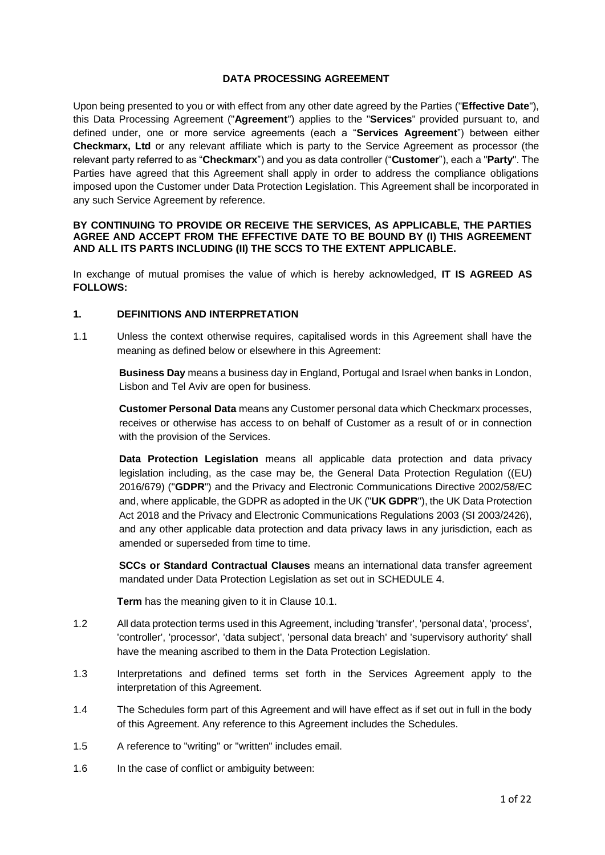## **DATA PROCESSING AGREEMENT**

Upon being presented to you or with effect from any other date agreed by the Parties ("**Effective Date**"), this Data Processing Agreement ("**Agreement**") applies to the "**Services**" provided pursuant to, and defined under, one or more service agreements (each a "**Services Agreement**") between either **Checkmarx, Ltd** or any relevant affiliate which is party to the Service Agreement as processor (the relevant party referred to as "**Checkmarx**") and you as data controller ("**Customer**"), each a "**Party**". The Parties have agreed that this Agreement shall apply in order to address the compliance obligations imposed upon the Customer under Data Protection Legislation. This Agreement shall be incorporated in any such Service Agreement by reference.

#### **BY CONTINUING TO PROVIDE OR RECEIVE THE SERVICES, AS APPLICABLE, THE PARTIES AGREE AND ACCEPT FROM THE EFFECTIVE DATE TO BE BOUND BY (I) THIS AGREEMENT AND ALL ITS PARTS INCLUDING (II) THE SCCS TO THE EXTENT APPLICABLE.**

In exchange of mutual promises the value of which is hereby acknowledged, **IT IS AGREED AS FOLLOWS:**

#### **1. DEFINITIONS AND INTERPRETATION**

1.1 Unless the context otherwise requires, capitalised words in this Agreement shall have the meaning as defined below or elsewhere in this Agreement:

**Business Day** means a business day in England, Portugal and Israel when banks in London, Lisbon and Tel Aviv are open for business.

**Customer Personal Data** means any Customer personal data which Checkmarx processes, receives or otherwise has access to on behalf of Customer as a result of or in connection with the provision of the Services.

**Data Protection Legislation** means all applicable data protection and data privacy legislation including, as the case may be, the General Data Protection Regulation ((EU) 2016/679) ("**GDPR**") and the Privacy and Electronic Communications Directive 2002/58/EC and, where applicable, the GDPR as adopted in the UK ("**UK GDPR**"), the UK Data Protection Act 2018 and the Privacy and Electronic Communications Regulations 2003 (SI 2003/2426), and any other applicable data protection and data privacy laws in any jurisdiction, each as amended or superseded from time to time.

**SCCs or Standard Contractual Clauses** means an international data transfer agreement mandated under Data Protection Legislation as set out in SCHEDULE 4.

**Term** has the meaning given to it in Clause 10.1.

- 1.2 All data protection terms used in this Agreement, including 'transfer', 'personal data', 'process', 'controller', 'processor', 'data subject', 'personal data breach' and 'supervisory authority' shall have the meaning ascribed to them in the Data Protection Legislation.
- 1.3 Interpretations and defined terms set forth in the Services Agreement apply to the interpretation of this Agreement.
- 1.4 The Schedules form part of this Agreement and will have effect as if set out in full in the body of this Agreement. Any reference to this Agreement includes the Schedules.
- 1.5 A reference to "writing" or "written" includes email.
- 1.6 In the case of conflict or ambiguity between: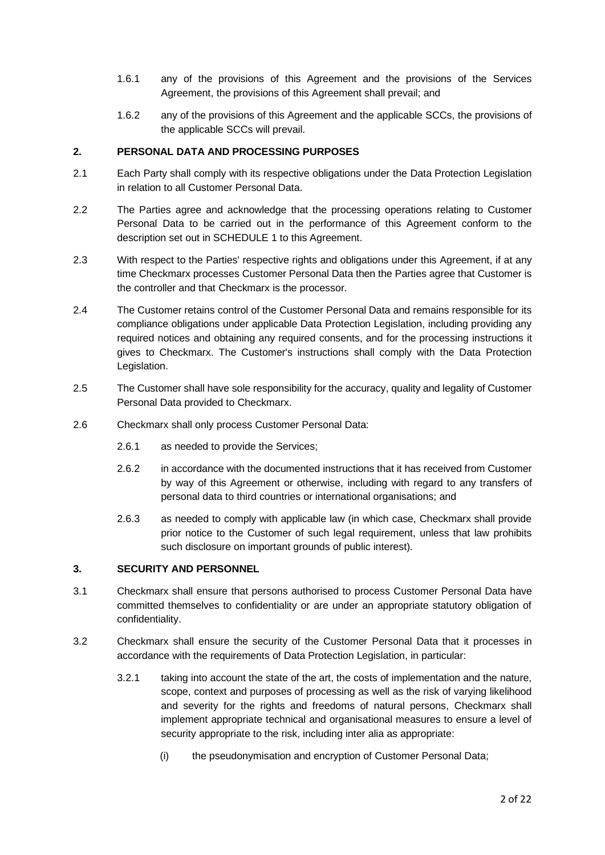- 1.6.1 any of the provisions of this Agreement and the provisions of the Services Agreement, the provisions of this Agreement shall prevail; and
- 1.6.2 any of the provisions of this Agreement and the applicable SCCs, the provisions of the applicable SCCs will prevail.

# **2. PERSONAL DATA AND PROCESSING PURPOSES**

- 2.1 Each Party shall comply with its respective obligations under the Data Protection Legislation in relation to all Customer Personal Data.
- 2.2 The Parties agree and acknowledge that the processing operations relating to Customer Personal Data to be carried out in the performance of this Agreement conform to the description set out in SCHEDULE 1 to this Agreement.
- 2.3 With respect to the Parties' respective rights and obligations under this Agreement, if at any time Checkmarx processes Customer Personal Data then the Parties agree that Customer is the controller and that Checkmarx is the processor.
- 2.4 The Customer retains control of the Customer Personal Data and remains responsible for its compliance obligations under applicable Data Protection Legislation, including providing any required notices and obtaining any required consents, and for the processing instructions it gives to Checkmarx. The Customer's instructions shall comply with the Data Protection Legislation.
- 2.5 The Customer shall have sole responsibility for the accuracy, quality and legality of Customer Personal Data provided to Checkmarx.
- 2.6 Checkmarx shall only process Customer Personal Data:
	- 2.6.1 as needed to provide the Services;
	- 2.6.2 in accordance with the documented instructions that it has received from Customer by way of this Agreement or otherwise, including with regard to any transfers of personal data to third countries or international organisations; and
	- 2.6.3 as needed to comply with applicable law (in which case, Checkmarx shall provide prior notice to the Customer of such legal requirement, unless that law prohibits such disclosure on important grounds of public interest).

# **3. SECURITY AND PERSONNEL**

- 3.1 Checkmarx shall ensure that persons authorised to process Customer Personal Data have committed themselves to confidentiality or are under an appropriate statutory obligation of confidentiality.
- 3.2 Checkmarx shall ensure the security of the Customer Personal Data that it processes in accordance with the requirements of Data Protection Legislation, in particular:
	- 3.2.1 taking into account the state of the art, the costs of implementation and the nature, scope, context and purposes of processing as well as the risk of varying likelihood and severity for the rights and freedoms of natural persons, Checkmarx shall implement appropriate technical and organisational measures to ensure a level of security appropriate to the risk, including inter alia as appropriate:
		- (i) the pseudonymisation and encryption of Customer Personal Data;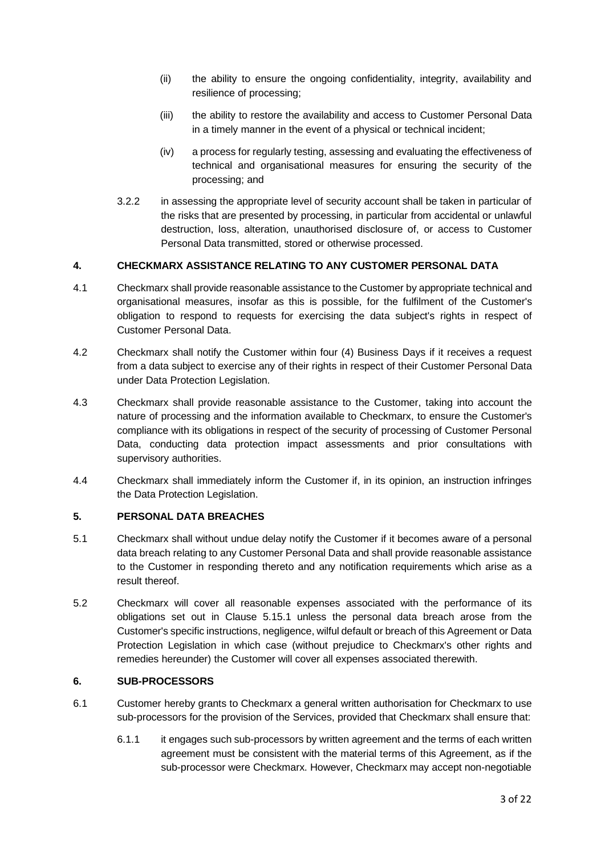- (ii) the ability to ensure the ongoing confidentiality, integrity, availability and resilience of processing;
- (iii) the ability to restore the availability and access to Customer Personal Data in a timely manner in the event of a physical or technical incident;
- (iv) a process for regularly testing, assessing and evaluating the effectiveness of technical and organisational measures for ensuring the security of the processing; and
- 3.2.2 in assessing the appropriate level of security account shall be taken in particular of the risks that are presented by processing, in particular from accidental or unlawful destruction, loss, alteration, unauthorised disclosure of, or access to Customer Personal Data transmitted, stored or otherwise processed.

# **4. CHECKMARX ASSISTANCE RELATING TO ANY CUSTOMER PERSONAL DATA**

- 4.1 Checkmarx shall provide reasonable assistance to the Customer by appropriate technical and organisational measures, insofar as this is possible, for the fulfilment of the Customer's obligation to respond to requests for exercising the data subject's rights in respect of Customer Personal Data.
- 4.2 Checkmarx shall notify the Customer within four (4) Business Days if it receives a request from a data subject to exercise any of their rights in respect of their Customer Personal Data under Data Protection Legislation.
- 4.3 Checkmarx shall provide reasonable assistance to the Customer, taking into account the nature of processing and the information available to Checkmarx, to ensure the Customer's compliance with its obligations in respect of the security of processing of Customer Personal Data, conducting data protection impact assessments and prior consultations with supervisory authorities.
- 4.4 Checkmarx shall immediately inform the Customer if, in its opinion, an instruction infringes the Data Protection Legislation.

# **5. PERSONAL DATA BREACHES**

- <span id="page-2-0"></span>5.1 Checkmarx shall without undue delay notify the Customer if it becomes aware of a personal data breach relating to any Customer Personal Data and shall provide reasonable assistance to the Customer in responding thereto and any notification requirements which arise as a result thereof.
- 5.2 Checkmarx will cover all reasonable expenses associated with the performance of its obligations set out in Clause [5.15](#page-2-0).1 unless the personal data breach arose from the Customer's specific instructions, negligence, wilful default or breach of this Agreement or Data Protection Legislation in which case (without prejudice to Checkmarx's other rights and remedies hereunder) the Customer will cover all expenses associated therewith.

# **6. SUB-PROCESSORS**

- 6.1 Customer hereby grants to Checkmarx a general written authorisation for Checkmarx to use sub-processors for the provision of the Services, provided that Checkmarx shall ensure that:
	- 6.1.1 it engages such sub-processors by written agreement and the terms of each written agreement must be consistent with the material terms of this Agreement, as if the sub-processor were Checkmarx. However, Checkmarx may accept non-negotiable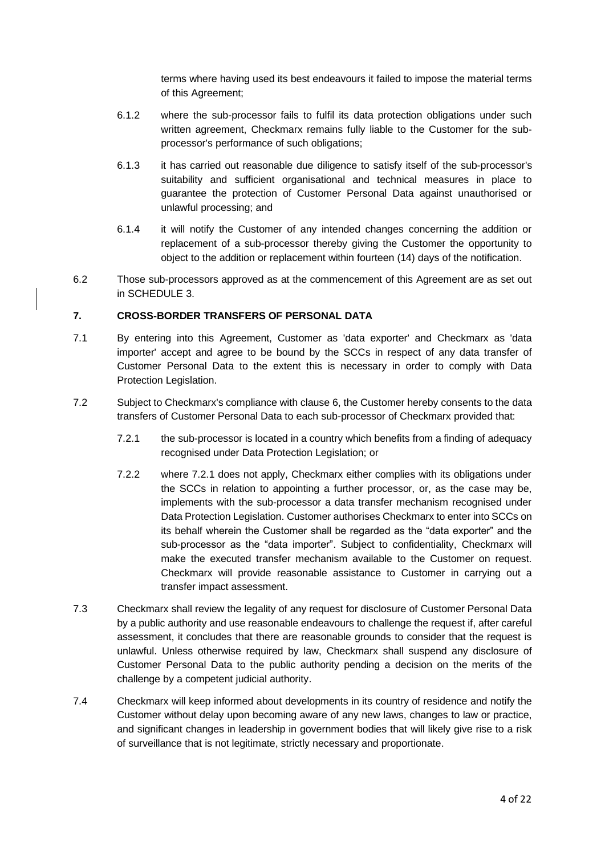terms where having used its best endeavours it failed to impose the material terms of this Agreement;

- 6.1.2 where the sub-processor fails to fulfil its data protection obligations under such written agreement, Checkmarx remains fully liable to the Customer for the subprocessor's performance of such obligations;
- 6.1.3 it has carried out reasonable due diligence to satisfy itself of the sub-processor's suitability and sufficient organisational and technical measures in place to guarantee the protection of Customer Personal Data against unauthorised or unlawful processing; and
- 6.1.4 it will notify the Customer of any intended changes concerning the addition or replacement of a sub-processor thereby giving the Customer the opportunity to object to the addition or replacement within fourteen (14) days of the notification.
- 6.2 Those sub-processors approved as at the commencement of this Agreement are as set out in SCHEDULE 3.

# **7. CROSS-BORDER TRANSFERS OF PERSONAL DATA**

- 7.1 By entering into this Agreement, Customer as 'data exporter' and Checkmarx as 'data importer' accept and agree to be bound by the SCCs in respect of any data transfer of Customer Personal Data to the extent this is necessary in order to comply with Data Protection Legislation.
- 7.2 Subject to Checkmarx's compliance with clause 6, the Customer hereby consents to the data transfers of Customer Personal Data to each sub-processor of Checkmarx provided that:
	- 7.2.1 the sub-processor is located in a country which benefits from a finding of adequacy recognised under Data Protection Legislation; or
	- 7.2.2 where 7.2.1 does not apply, Checkmarx either complies with its obligations under the SCCs in relation to appointing a further processor, or, as the case may be, implements with the sub-processor a data transfer mechanism recognised under Data Protection Legislation. Customer authorises Checkmarx to enter into SCCs on its behalf wherein the Customer shall be regarded as the "data exporter" and the sub-processor as the "data importer". Subject to confidentiality, Checkmarx will make the executed transfer mechanism available to the Customer on request. Checkmarx will provide reasonable assistance to Customer in carrying out a transfer impact assessment.
- 7.3 Checkmarx shall review the legality of any request for disclosure of Customer Personal Data by a public authority and use reasonable endeavours to challenge the request if, after careful assessment, it concludes that there are reasonable grounds to consider that the request is unlawful. Unless otherwise required by law, Checkmarx shall suspend any disclosure of Customer Personal Data to the public authority pending a decision on the merits of the challenge by a competent judicial authority.
- 7.4 Checkmarx will keep informed about developments in its country of residence and notify the Customer without delay upon becoming aware of any new laws, changes to law or practice, and significant changes in leadership in government bodies that will likely give rise to a risk of surveillance that is not legitimate, strictly necessary and proportionate.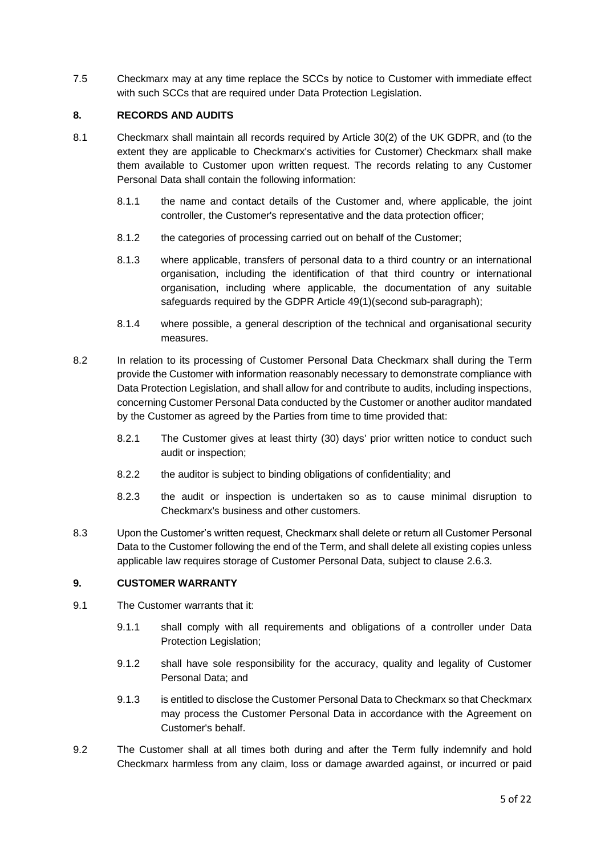7.5 Checkmarx may at any time replace the SCCs by notice to Customer with immediate effect with such SCCs that are required under Data Protection Legislation.

# **8. RECORDS AND AUDITS**

- 8.1 Checkmarx shall maintain all records required by Article 30(2) of the UK GDPR, and (to the extent they are applicable to Checkmarx's activities for Customer) Checkmarx shall make them available to Customer upon written request. The records relating to any Customer Personal Data shall contain the following information:
	- 8.1.1 the name and contact details of the Customer and, where applicable, the joint controller, the Customer's representative and the data protection officer;
	- 8.1.2 the categories of processing carried out on behalf of the Customer;
	- 8.1.3 where applicable, transfers of personal data to a third country or an international organisation, including the identification of that third country or international organisation, including where applicable, the documentation of any suitable safeguards required by the GDPR Article 49(1)(second sub-paragraph);
	- 8.1.4 where possible, a general description of the technical and organisational security measures.
- 8.2 In relation to its processing of Customer Personal Data Checkmarx shall during the Term provide the Customer with information reasonably necessary to demonstrate compliance with Data Protection Legislation, and shall allow for and contribute to audits, including inspections, concerning Customer Personal Data conducted by the Customer or another auditor mandated by the Customer as agreed by the Parties from time to time provided that:
	- 8.2.1 The Customer gives at least thirty (30) days' prior written notice to conduct such audit or inspection;
	- 8.2.2 the auditor is subject to binding obligations of confidentiality; and
	- 8.2.3 the audit or inspection is undertaken so as to cause minimal disruption to Checkmarx's business and other customers.
- 8.3 Upon the Customer's written request, Checkmarx shall delete or return all Customer Personal Data to the Customer following the end of the Term, and shall delete all existing copies unless applicable law requires storage of Customer Personal Data, subject to clause 2.6.3.

# **9. CUSTOMER WARRANTY**

- 9.1 The Customer warrants that it:
	- 9.1.1 shall comply with all requirements and obligations of a controller under Data Protection Legislation:
	- 9.1.2 shall have sole responsibility for the accuracy, quality and legality of Customer Personal Data; and
	- 9.1.3 is entitled to disclose the Customer Personal Data to Checkmarx so that Checkmarx may process the Customer Personal Data in accordance with the Agreement on Customer's behalf.
- 9.2 The Customer shall at all times both during and after the Term fully indemnify and hold Checkmarx harmless from any claim, loss or damage awarded against, or incurred or paid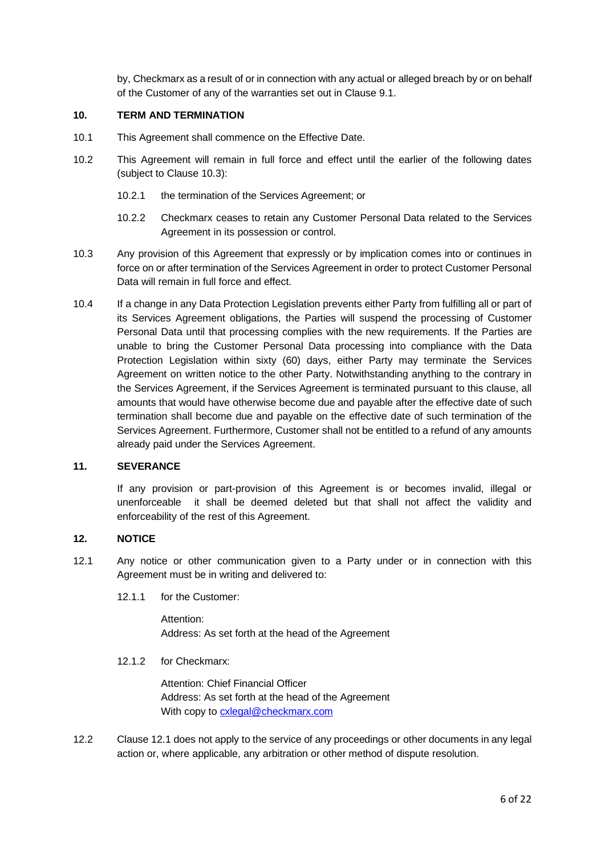by, Checkmarx as a result of or in connection with any actual or alleged breach by or on behalf of the Customer of any of the warranties set out in Clause 9.1.

# **10. TERM AND TERMINATION**

- 10.1 This Agreement shall commence on the Effective Date.
- 10.2 This Agreement will remain in full force and effect until the earlier of the following dates (subject to Clause 10.3):
	- 10.2.1 the termination of the Services Agreement; or
	- 10.2.2 Checkmarx ceases to retain any Customer Personal Data related to the Services Agreement in its possession or control.
- 10.3 Any provision of this Agreement that expressly or by implication comes into or continues in force on or after termination of the Services Agreement in order to protect Customer Personal Data will remain in full force and effect.
- 10.4 If a change in any Data Protection Legislation prevents either Party from fulfilling all or part of its Services Agreement obligations, the Parties will suspend the processing of Customer Personal Data until that processing complies with the new requirements. If the Parties are unable to bring the Customer Personal Data processing into compliance with the Data Protection Legislation within sixty (60) days, either Party may terminate the Services Agreement on written notice to the other Party. Notwithstanding anything to the contrary in the Services Agreement, if the Services Agreement is terminated pursuant to this clause, all amounts that would have otherwise become due and payable after the effective date of such termination shall become due and payable on the effective date of such termination of the Services Agreement. Furthermore, Customer shall not be entitled to a refund of any amounts already paid under the Services Agreement.

# **11. SEVERANCE**

If any provision or part-provision of this Agreement is or becomes invalid, illegal or unenforceable it shall be deemed deleted but that shall not affect the validity and enforceability of the rest of this Agreement.

#### **12. NOTICE**

- 12.1 Any notice or other communication given to a Party under or in connection with this Agreement must be in writing and delivered to:
	- 12.1.1 for the Customer:

Attention: Address: As set forth at the head of the Agreement

#### 12.1.2 for Checkmarx:

Attention: Chief Financial Officer Address: As set forth at the head of the Agreement With copy to [cxlegal@checkmarx.com](mailto:cxlegal@checkmarx.com)

12.2 Clause 12.1 does not apply to the service of any proceedings or other documents in any legal action or, where applicable, any arbitration or other method of dispute resolution.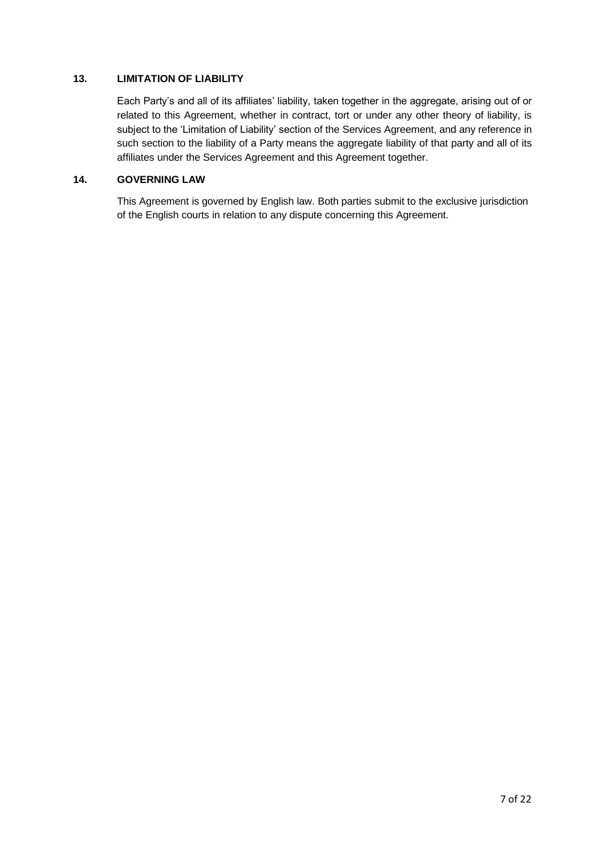# **13. LIMITATION OF LIABILITY**

Each Party's and all of its affiliates' liability, taken together in the aggregate, arising out of or related to this Agreement, whether in contract, tort or under any other theory of liability, is subject to the 'Limitation of Liability' section of the Services Agreement, and any reference in such section to the liability of a Party means the aggregate liability of that party and all of its affiliates under the Services Agreement and this Agreement together.

# **14. GOVERNING LAW**

<span id="page-6-0"></span>This Agreement is governed by English law. Both parties submit to the exclusive jurisdiction of the English courts in relation to any dispute concerning this Agreement.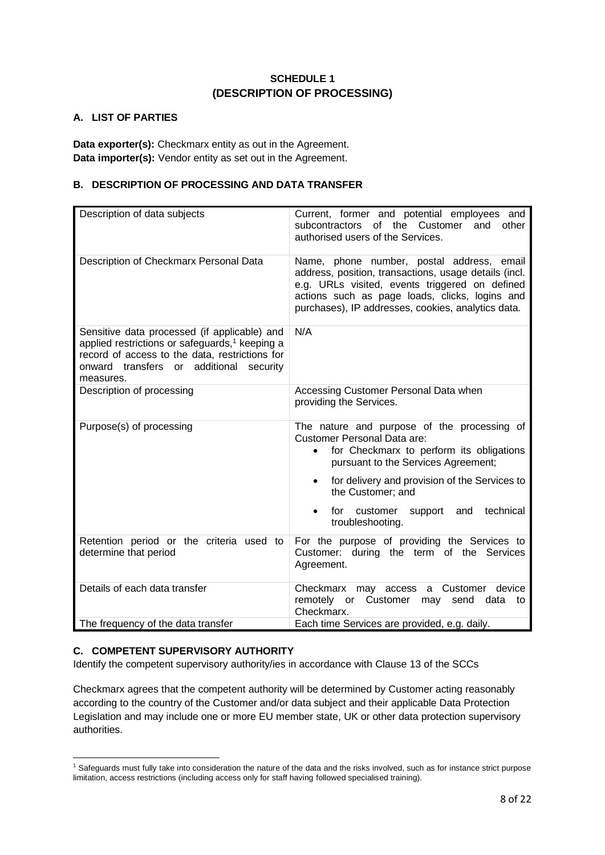# **SCHEDULE 1 (DESCRIPTION OF PROCESSING)**

# **A. LIST OF PARTIES**

**Data exporter(s):** Checkmarx entity as out in the Agreement. **Data importer(s):** Vendor entity as set out in the Agreement.

# **B. DESCRIPTION OF PROCESSING AND DATA TRANSFER**

| Description of data subjects                                                                                                                                                                                               | Current, former and potential employees and<br>subcontractors of the Customer<br>and other<br>authorised users of the Services.                                                                                                                              |
|----------------------------------------------------------------------------------------------------------------------------------------------------------------------------------------------------------------------------|--------------------------------------------------------------------------------------------------------------------------------------------------------------------------------------------------------------------------------------------------------------|
| Description of Checkmarx Personal Data                                                                                                                                                                                     | Name, phone number, postal address, email<br>address, position, transactions, usage details (incl.<br>e.g. URLs visited, events triggered on defined<br>actions such as page loads, clicks, logins and<br>purchases), IP addresses, cookies, analytics data. |
| Sensitive data processed (if applicable) and<br>applied restrictions or safeguards, <sup>1</sup> keeping a<br>record of access to the data, restrictions for<br>onward transfers or<br>additional<br>security<br>measures. | N/A                                                                                                                                                                                                                                                          |
| Description of processing                                                                                                                                                                                                  | Accessing Customer Personal Data when<br>providing the Services.                                                                                                                                                                                             |
| Purpose(s) of processing                                                                                                                                                                                                   | The nature and purpose of the processing of<br><b>Customer Personal Data are:</b><br>for Checkmarx to perform its obligations<br>pursuant to the Services Agreement;                                                                                         |
|                                                                                                                                                                                                                            | for delivery and provision of the Services to<br>$\bullet$<br>the Customer; and                                                                                                                                                                              |
|                                                                                                                                                                                                                            | technical<br>for customer support and<br>troubleshooting.                                                                                                                                                                                                    |
| Retention period or the criteria used to<br>determine that period                                                                                                                                                          | For the purpose of providing the Services to<br>Customer: during the term of the Services<br>Agreement.                                                                                                                                                      |
| Details of each data transfer                                                                                                                                                                                              | Checkmarx may access a Customer<br>device<br>remotely<br>Customer<br>send<br>data<br>or<br>may<br>to<br>Checkmarx.                                                                                                                                           |
| The frequency of the data transfer                                                                                                                                                                                         | Each time Services are provided, e.g. daily.                                                                                                                                                                                                                 |

# **C. COMPETENT SUPERVISORY AUTHORITY**

Identify the competent supervisory authority/ies in accordance with Clause 13 of the SCCs

Checkmarx agrees that the competent authority will be determined by Customer acting reasonably according to the country of the Customer and/or data subject and their applicable Data Protection Legislation and may include one or more EU member state, UK or other data protection supervisory authorities.

<sup>&</sup>lt;sup>1</sup> Safeguards must fully take into consideration the nature of the data and the risks involved, such as for instance strict purpose limitation, access restrictions (including access only for staff having followed specialised training).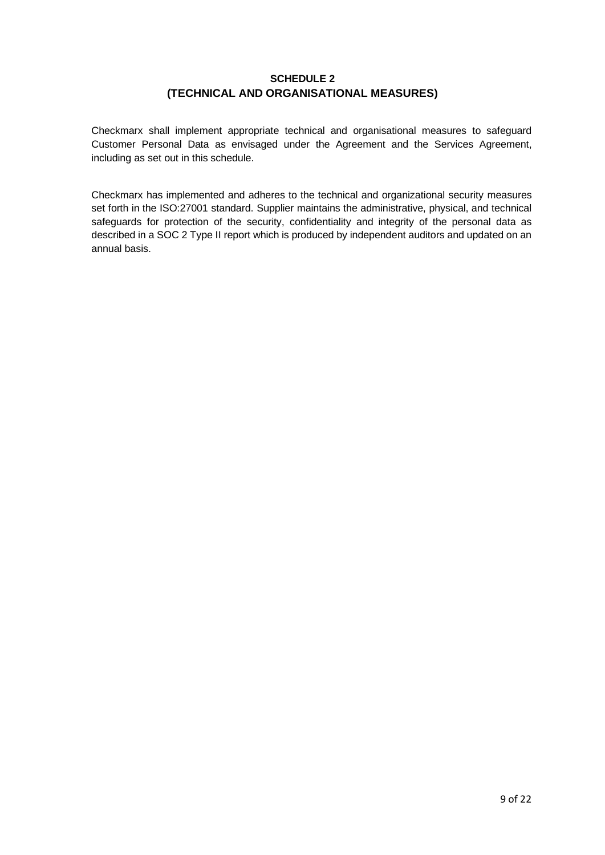# **SCHEDULE 2 (TECHNICAL AND ORGANISATIONAL MEASURES)**

Checkmarx shall implement appropriate technical and organisational measures to safeguard Customer Personal Data as envisaged under the Agreement and the Services Agreement, including as set out in this schedule.

Checkmarx has implemented and adheres to the technical and organizational security measures set forth in the ISO:27001 standard. Supplier maintains the administrative, physical, and technical safeguards for protection of the security, confidentiality and integrity of the personal data as described in a SOC 2 Type II report which is produced by independent auditors and updated on an annual basis.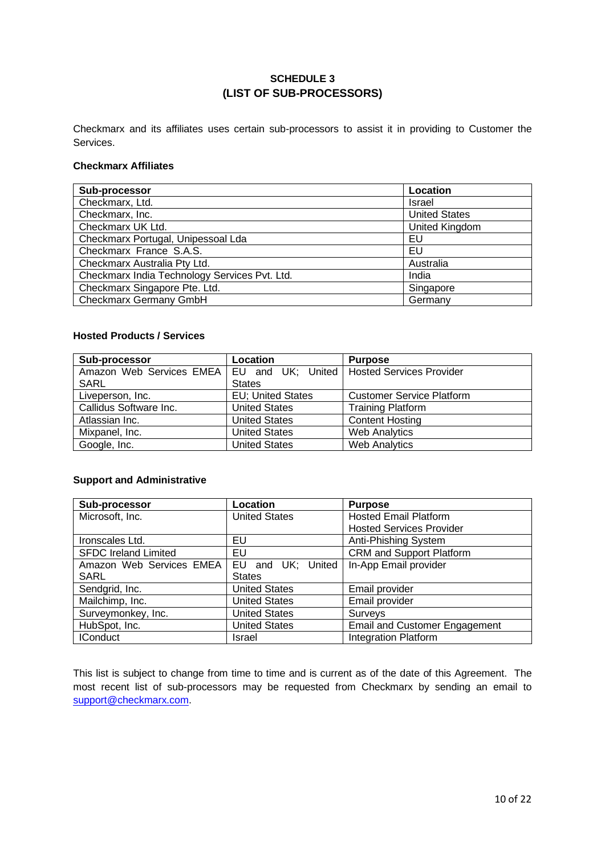# **SCHEDULE 3 (LIST OF SUB-PROCESSORS)**

Checkmarx and its affiliates uses certain sub-processors to assist it in providing to Customer the Services.

# **Checkmarx Affiliates**

| Sub-processor                                 | Location              |
|-----------------------------------------------|-----------------------|
| Checkmarx, Ltd.                               | <b>Israel</b>         |
| Checkmarx, Inc.                               | <b>United States</b>  |
| Checkmarx UK Ltd.                             | <b>United Kingdom</b> |
| Checkmarx Portugal, Unipessoal Lda            | EU                    |
| Checkmarx France S.A.S.                       | EU                    |
| Checkmarx Australia Pty Ltd.                  | Australia             |
| Checkmarx India Technology Services Pvt. Ltd. | India                 |
| Checkmarx Singapore Pte. Ltd.                 | Singapore             |
| <b>Checkmarx Germany GmbH</b>                 | Germany               |

# **Hosted Products / Services**

| Sub-processor                                                           | Location             | <b>Purpose</b>                   |
|-------------------------------------------------------------------------|----------------------|----------------------------------|
| Amazon Web Services EMEA   EU and UK; United   Hosted Services Provider |                      |                                  |
| <b>SARL</b>                                                             | <b>States</b>        |                                  |
| Liveperson, Inc.                                                        | EU; United States    | <b>Customer Service Platform</b> |
| Callidus Software Inc.                                                  | <b>United States</b> | <b>Training Platform</b>         |
| Atlassian Inc.                                                          | <b>United States</b> | <b>Content Hosting</b>           |
| Mixpanel, Inc.                                                          | <b>United States</b> | <b>Web Analytics</b>             |
| Google, Inc.                                                            | <b>United States</b> | <b>Web Analytics</b>             |

#### **Support and Administrative**

| Sub-processor               | Location             | <b>Purpose</b>                       |
|-----------------------------|----------------------|--------------------------------------|
| Microsoft, Inc.             | <b>United States</b> | <b>Hosted Email Platform</b>         |
|                             |                      | <b>Hosted Services Provider</b>      |
| Ironscales Ltd.             | EU                   | Anti-Phishing System                 |
| <b>SFDC Ireland Limited</b> | EU                   | <b>CRM and Support Platform</b>      |
| Amazon Web Services EMEA    | EU<br>and UK; United | In-App Email provider                |
| SARL                        | <b>States</b>        |                                      |
| Sendgrid, Inc.              | <b>United States</b> | Email provider                       |
| Mailchimp, Inc.             | <b>United States</b> | Email provider                       |
| Surveymonkey, Inc.          | <b>United States</b> | Surveys                              |
| HubSpot, Inc.               | <b>United States</b> | <b>Email and Customer Engagement</b> |
| <b>IConduct</b>             | <b>Israel</b>        | <b>Integration Platform</b>          |

This list is subject to change from time to time and is current as of the date of this Agreement. The most recent list of sub-processors may be requested from Checkmarx by sending an email to [support@checkmarx.com.](mailto:support@checkmarx.com)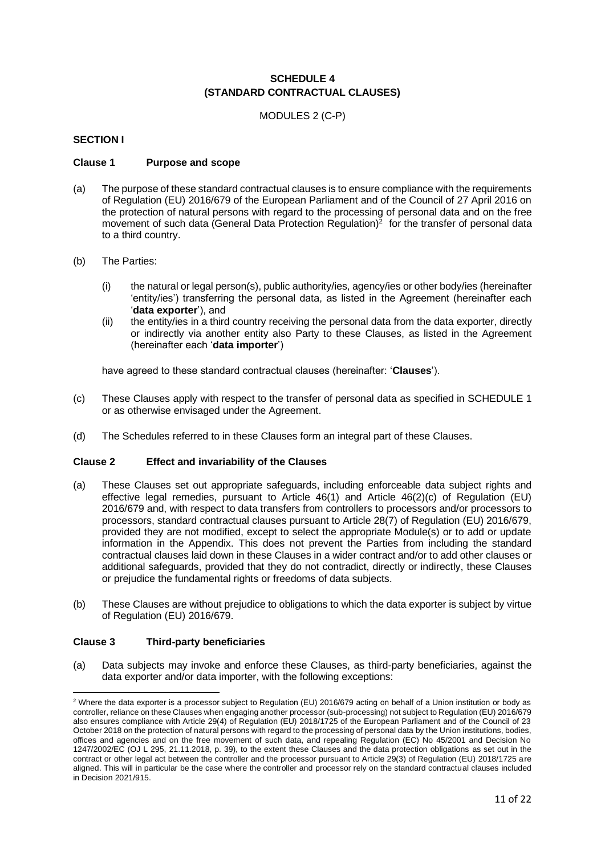# **SCHEDULE 4 (STANDARD CONTRACTUAL CLAUSES)**

MODULES 2 (C-P)

#### **SECTION I**

#### **Clause 1 Purpose and scope**

- (a) The purpose of these standard contractual clauses is to ensure compliance with the requirements of Regulation (EU) 2016/679 of the European Parliament and of the Council of 27 April 2016 on the protection of natural persons with regard to the processing of personal data and on the free movement of such data (General Data Protection Regulation)<sup>2</sup> for the transfer of personal data to a third country.
- (b) The Parties:
	- (i) the natural or legal person(s), public authority/ies, agency/ies or other body/ies (hereinafter 'entity/ies') transferring the personal data, as listed in the Agreement (hereinafter each '**data exporter**'), and
	- (ii) the entity/ies in a third country receiving the personal data from the data exporter, directly or indirectly via another entity also Party to these Clauses, as listed in the Agreement (hereinafter each '**data importer**')

have agreed to these standard contractual clauses (hereinafter: '**Clauses**').

- (c) These Clauses apply with respect to the transfer of personal data as specified in SCHEDULE 1 or as otherwise envisaged under the Agreement.
- (d) The Schedules referred to in these Clauses form an integral part of these Clauses.

# **Clause 2 Effect and invariability of the Clauses**

- (a) These Clauses set out appropriate safeguards, including enforceable data subject rights and effective legal remedies, pursuant to Article 46(1) and Article 46(2)(c) of Regulation (EU) 2016/679 and, with respect to data transfers from controllers to processors and/or processors to processors, standard contractual clauses pursuant to Article 28(7) of Regulation (EU) 2016/679, provided they are not modified, except to select the appropriate Module(s) or to add or update information in the Appendix. This does not prevent the Parties from including the standard contractual clauses laid down in these Clauses in a wider contract and/or to add other clauses or additional safeguards, provided that they do not contradict, directly or indirectly, these Clauses or prejudice the fundamental rights or freedoms of data subjects.
- (b) These Clauses are without prejudice to obligations to which the data exporter is subject by virtue of Regulation (EU) 2016/679.

#### **Clause 3 Third-party beneficiaries**

(a) Data subjects may invoke and enforce these Clauses, as third-party beneficiaries, against the data exporter and/or data importer, with the following exceptions:

<sup>&</sup>lt;sup>2</sup> Where the data exporter is a processor subject to Regulation (EU) 2016/679 acting on behalf of a Union institution or body as controller, reliance on these Clauses when engaging another processor (sub-processing) not subject to Regulation (EU) 2016/679 also ensures compliance with Article 29(4) of Regulation (EU) 2018/1725 of the European Parliament and of the Council of 23 October 2018 on the protection of natural persons with regard to the processing of personal data by the Union institutions, bodies, offices and agencies and on the free movement of such data, and repealing Regulation (EC) No 45/2001 and Decision No 1247/2002/EC (OJ L 295, 21.11.2018, p. 39), to the extent these Clauses and the data protection obligations as set out in the contract or other legal act between the controller and the processor pursuant to Article 29(3) of Regulation (EU) 2018/1725 are aligned. This will in particular be the case where the controller and processor rely on the standard contractual clauses included in Decision 2021/915.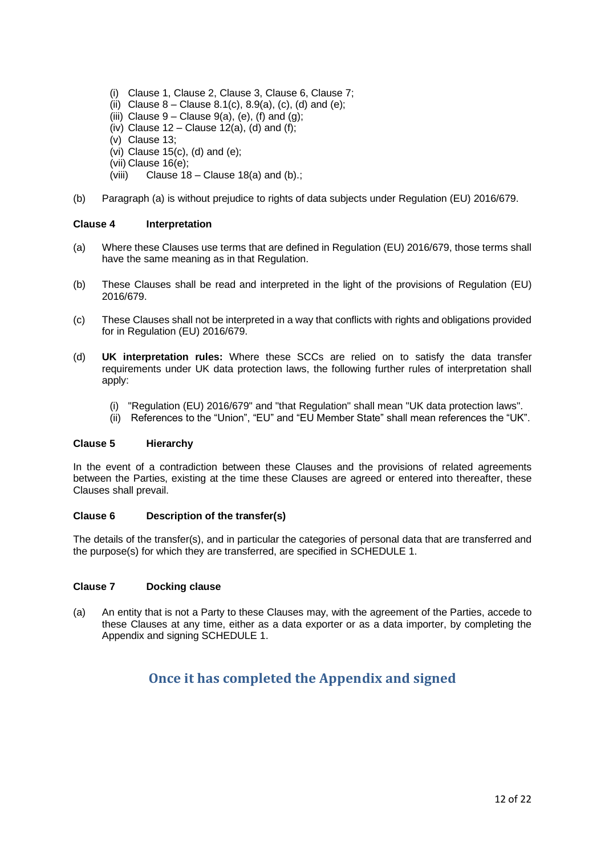- (i) Clause 1, Clause 2, Clause 3, Clause 6, Clause 7;
- (ii) Clause  $8 -$  Clause  $8.1(c)$ ,  $8.9(a)$ ,  $(c)$ ,  $(d)$  and  $(e)$ ;
- (iii) Clause  $9 -$  Clause  $9(a)$ , (e), (f) and (g);
- (iv) Clause  $12 -$  Clause  $12(a)$ , (d) and (f);
- (v) Clause 13;
- $(vi)$  Clause 15 $(c)$ ,  $(d)$  and  $(e)$ ;
- (vii) Clause 16(e);
- $(viii)$  Clause 18 Clause 18(a) and (b).:
- (b) Paragraph (a) is without prejudice to rights of data subjects under Regulation (EU) 2016/679.

#### **Clause 4 Interpretation**

- (a) Where these Clauses use terms that are defined in Regulation (EU) 2016/679, those terms shall have the same meaning as in that Regulation.
- (b) These Clauses shall be read and interpreted in the light of the provisions of Regulation (EU) 2016/679.
- (c) These Clauses shall not be interpreted in a way that conflicts with rights and obligations provided for in Regulation (EU) 2016/679.
- (d) **UK interpretation rules:** Where these SCCs are relied on to satisfy the data transfer requirements under UK data protection laws, the following further rules of interpretation shall apply:
	- (i) "Regulation (EU) 2016/679" and "that Regulation" shall mean "UK data protection laws".
	- (ii) References to the "Union", "EU" and "EU Member State" shall mean references the "UK".

#### **Clause 5 Hierarchy**

In the event of a contradiction between these Clauses and the provisions of related agreements between the Parties, existing at the time these Clauses are agreed or entered into thereafter, these Clauses shall prevail.

# **Clause 6 Description of the transfer(s)**

The details of the transfer(s), and in particular the categories of personal data that are transferred and the purpose(s) for which they are transferred, are specified in SCHEDULE 1.

# **Clause 7 Docking clause**

(a) An entity that is not a Party to these Clauses may, with the agreement of the Parties, accede to these Clauses at any time, either as a data exporter or as a data importer, by completing the Appendix and signing SCHEDULE 1.

# **Once it has completed the Appendix and signed**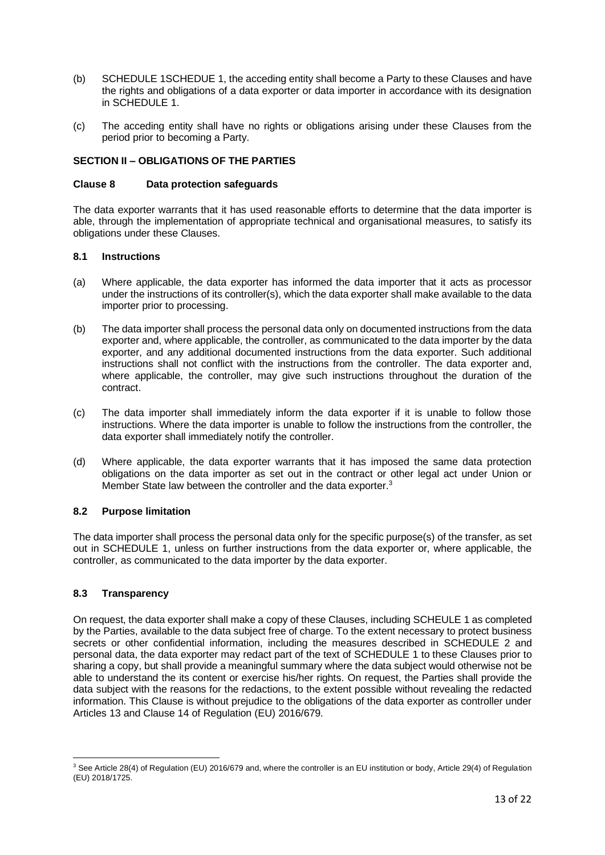- (b) [SCHEDULE 1S](#page-6-0)CHEDUE 1, the acceding entity shall become a Party to these Clauses and have the rights and obligations of a data exporter or data importer in accordance with its designation in SCHEDULE 1.
- (c) The acceding entity shall have no rights or obligations arising under these Clauses from the period prior to becoming a Party.

# **SECTION II – OBLIGATIONS OF THE PARTIES**

#### **Clause 8 Data protection safeguards**

The data exporter warrants that it has used reasonable efforts to determine that the data importer is able, through the implementation of appropriate technical and organisational measures, to satisfy its obligations under these Clauses.

#### **8.1 Instructions**

- (a) Where applicable, the data exporter has informed the data importer that it acts as processor under the instructions of its controller(s), which the data exporter shall make available to the data importer prior to processing.
- (b) The data importer shall process the personal data only on documented instructions from the data exporter and, where applicable, the controller, as communicated to the data importer by the data exporter, and any additional documented instructions from the data exporter. Such additional instructions shall not conflict with the instructions from the controller. The data exporter and, where applicable, the controller, may give such instructions throughout the duration of the contract.
- (c) The data importer shall immediately inform the data exporter if it is unable to follow those instructions. Where the data importer is unable to follow the instructions from the controller, the data exporter shall immediately notify the controller.
- (d) Where applicable, the data exporter warrants that it has imposed the same data protection obligations on the data importer as set out in the contract or other legal act under Union or Member State law between the controller and the data exporter.<sup>3</sup>

# **8.2 Purpose limitation**

The data importer shall process the personal data only for the specific purpose(s) of the transfer, as set out in SCHEDULE 1, unless on further instructions from the data exporter or, where applicable, the controller, as communicated to the data importer by the data exporter.

# **8.3 Transparency**

On request, the data exporter shall make a copy of these Clauses, including SCHEULE 1 as completed by the Parties, available to the data subject free of charge. To the extent necessary to protect business secrets or other confidential information, including the measures described in SCHEDULE 2 and personal data, the data exporter may redact part of the text of SCHEDULE 1 to these Clauses prior to sharing a copy, but shall provide a meaningful summary where the data subject would otherwise not be able to understand the its content or exercise his/her rights. On request, the Parties shall provide the data subject with the reasons for the redactions, to the extent possible without revealing the redacted information. This Clause is without prejudice to the obligations of the data exporter as controller under Articles 13 and Clause 14 of Regulation (EU) 2016/679.

<sup>&</sup>lt;sup>3</sup> See Article 28(4) of Regulation (EU) 2016/679 and, where the controller is an EU institution or body, Article 29(4) of Regulation (EU) 2018/1725.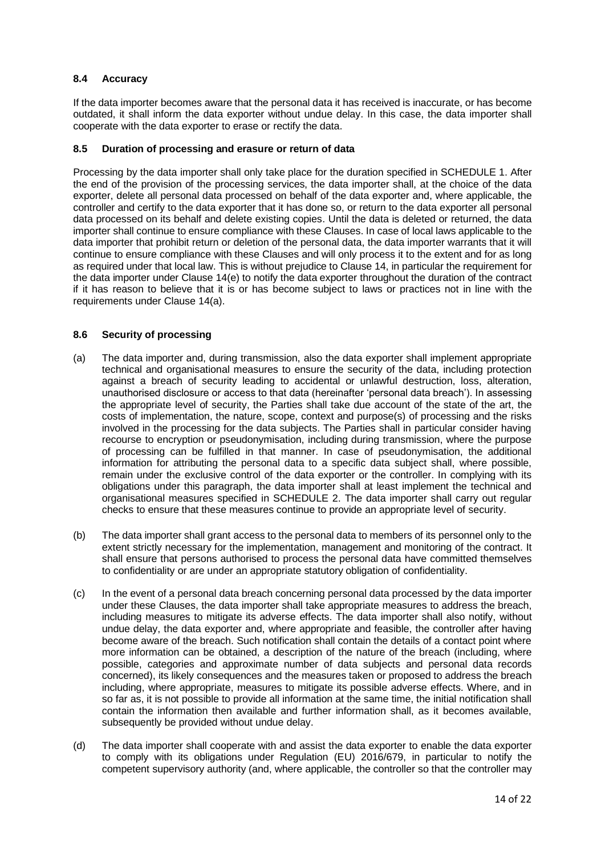# **8.4 Accuracy**

If the data importer becomes aware that the personal data it has received is inaccurate, or has become outdated, it shall inform the data exporter without undue delay. In this case, the data importer shall cooperate with the data exporter to erase or rectify the data.

#### **8.5 Duration of processing and erasure or return of data**

Processing by the data importer shall only take place for the duration specified in SCHEDULE 1. After the end of the provision of the processing services, the data importer shall, at the choice of the data exporter, delete all personal data processed on behalf of the data exporter and, where applicable, the controller and certify to the data exporter that it has done so, or return to the data exporter all personal data processed on its behalf and delete existing copies. Until the data is deleted or returned, the data importer shall continue to ensure compliance with these Clauses. In case of local laws applicable to the data importer that prohibit return or deletion of the personal data, the data importer warrants that it will continue to ensure compliance with these Clauses and will only process it to the extent and for as long as required under that local law. This is without prejudice to Clause 14, in particular the requirement for the data importer under Clause 14(e) to notify the data exporter throughout the duration of the contract if it has reason to believe that it is or has become subject to laws or practices not in line with the requirements under Clause 14(a).

# **8.6 Security of processing**

- (a) The data importer and, during transmission, also the data exporter shall implement appropriate technical and organisational measures to ensure the security of the data, including protection against a breach of security leading to accidental or unlawful destruction, loss, alteration, unauthorised disclosure or access to that data (hereinafter 'personal data breach'). In assessing the appropriate level of security, the Parties shall take due account of the state of the art, the costs of implementation, the nature, scope, context and purpose(s) of processing and the risks involved in the processing for the data subjects. The Parties shall in particular consider having recourse to encryption or pseudonymisation, including during transmission, where the purpose of processing can be fulfilled in that manner. In case of pseudonymisation, the additional information for attributing the personal data to a specific data subject shall, where possible, remain under the exclusive control of the data exporter or the controller. In complying with its obligations under this paragraph, the data importer shall at least implement the technical and organisational measures specified in SCHEDULE 2. The data importer shall carry out regular checks to ensure that these measures continue to provide an appropriate level of security.
- (b) The data importer shall grant access to the personal data to members of its personnel only to the extent strictly necessary for the implementation, management and monitoring of the contract. It shall ensure that persons authorised to process the personal data have committed themselves to confidentiality or are under an appropriate statutory obligation of confidentiality.
- (c) In the event of a personal data breach concerning personal data processed by the data importer under these Clauses, the data importer shall take appropriate measures to address the breach, including measures to mitigate its adverse effects. The data importer shall also notify, without undue delay, the data exporter and, where appropriate and feasible, the controller after having become aware of the breach. Such notification shall contain the details of a contact point where more information can be obtained, a description of the nature of the breach (including, where possible, categories and approximate number of data subjects and personal data records concerned), its likely consequences and the measures taken or proposed to address the breach including, where appropriate, measures to mitigate its possible adverse effects. Where, and in so far as, it is not possible to provide all information at the same time, the initial notification shall contain the information then available and further information shall, as it becomes available, subsequently be provided without undue delay.
- (d) The data importer shall cooperate with and assist the data exporter to enable the data exporter to comply with its obligations under Regulation (EU) 2016/679, in particular to notify the competent supervisory authority (and, where applicable, the controller so that the controller may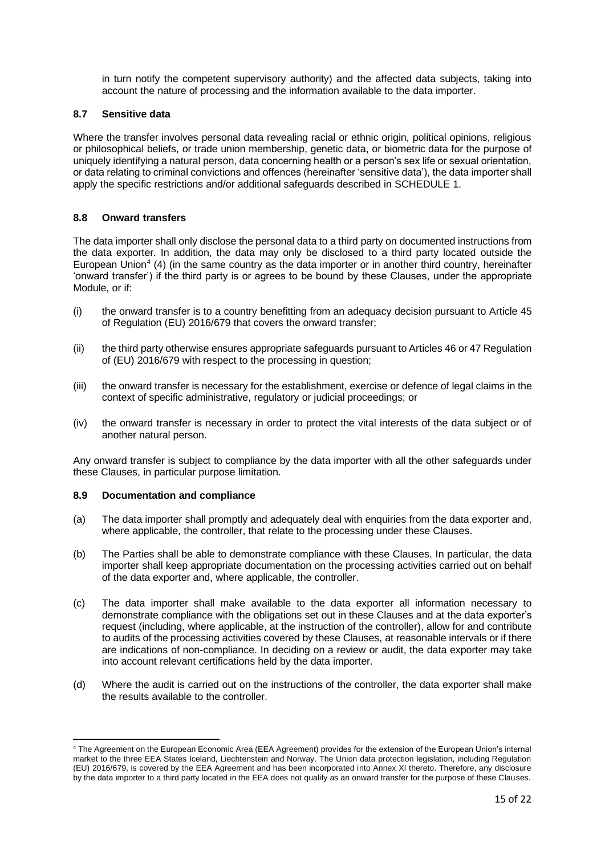in turn notify the competent supervisory authority) and the affected data subjects, taking into account the nature of processing and the information available to the data importer.

# **8.7 Sensitive data**

Where the transfer involves personal data revealing racial or ethnic origin, political opinions, religious or philosophical beliefs, or trade union membership, genetic data, or biometric data for the purpose of uniquely identifying a natural person, data concerning health or a person's sex life or sexual orientation, or data relating to criminal convictions and offences (hereinafter 'sensitive data'), the data importer shall apply the specific restrictions and/or additional safeguards described in SCHEDULE 1.

#### **8.8 Onward transfers**

The data importer shall only disclose the personal data to a third party on documented instructions from the data exporter. In addition, the data may only be disclosed to a third party located outside the European Union<sup>4</sup> (4) (in the same country as the data importer or in another third country, hereinafter 'onward transfer') if the third party is or agrees to be bound by these Clauses, under the appropriate Module, or if:

- (i) the onward transfer is to a country benefitting from an adequacy decision pursuant to Article 45 of Regulation (EU) 2016/679 that covers the onward transfer;
- (ii) the third party otherwise ensures appropriate safeguards pursuant to Articles 46 or 47 Regulation of (EU) 2016/679 with respect to the processing in question;
- (iii) the onward transfer is necessary for the establishment, exercise or defence of legal claims in the context of specific administrative, regulatory or judicial proceedings; or
- (iv) the onward transfer is necessary in order to protect the vital interests of the data subject or of another natural person.

Any onward transfer is subject to compliance by the data importer with all the other safeguards under these Clauses, in particular purpose limitation.

#### **8.9 Documentation and compliance**

- (a) The data importer shall promptly and adequately deal with enquiries from the data exporter and, where applicable, the controller, that relate to the processing under these Clauses.
- (b) The Parties shall be able to demonstrate compliance with these Clauses. In particular, the data importer shall keep appropriate documentation on the processing activities carried out on behalf of the data exporter and, where applicable, the controller.
- (c) The data importer shall make available to the data exporter all information necessary to demonstrate compliance with the obligations set out in these Clauses and at the data exporter's request (including, where applicable, at the instruction of the controller), allow for and contribute to audits of the processing activities covered by these Clauses, at reasonable intervals or if there are indications of non-compliance. In deciding on a review or audit, the data exporter may take into account relevant certifications held by the data importer.
- (d) Where the audit is carried out on the instructions of the controller, the data exporter shall make the results available to the controller.

<sup>4</sup> The Agreement on the European Economic Area (EEA Agreement) provides for the extension of the European Union's internal market to the three EEA States Iceland, Liechtenstein and Norway. The Union data protection legislation, including Regulation (EU) 2016/679, is covered by the EEA Agreement and has been incorporated into Annex XI thereto. Therefore, any disclosure by the data importer to a third party located in the EEA does not qualify as an onward transfer for the purpose of these Clauses.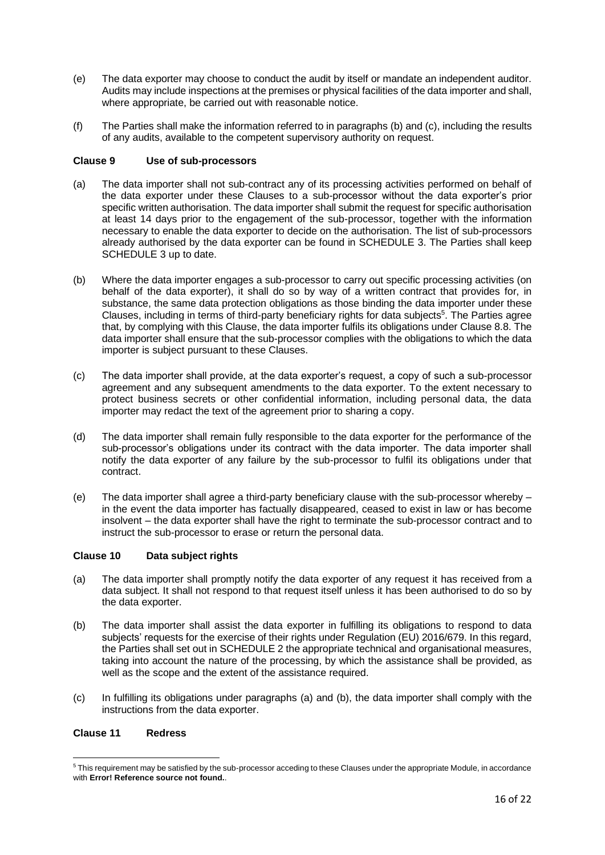- (e) The data exporter may choose to conduct the audit by itself or mandate an independent auditor. Audits may include inspections at the premises or physical facilities of the data importer and shall, where appropriate, be carried out with reasonable notice.
- (f) The Parties shall make the information referred to in paragraphs (b) and (c), including the results of any audits, available to the competent supervisory authority on request.

# **Clause 9 Use of sub-processors**

- (a) The data importer shall not sub-contract any of its processing activities performed on behalf of the data exporter under these Clauses to a sub-processor without the data exporter's prior specific written authorisation. The data importer shall submit the request for specific authorisation at least 14 days prior to the engagement of the sub-processor, together with the information necessary to enable the data exporter to decide on the authorisation. The list of sub-processors already authorised by the data exporter can be found in SCHEDULE 3. The Parties shall keep SCHEDULE 3 up to date.
- (b) Where the data importer engages a sub-processor to carry out specific processing activities (on behalf of the data exporter), it shall do so by way of a written contract that provides for, in substance, the same data protection obligations as those binding the data importer under these Clauses, including in terms of third-party beneficiary rights for data subjects<sup>5</sup>. The Parties agree that, by complying with this Clause, the data importer fulfils its obligations under Clause 8.8. The data importer shall ensure that the sub-processor complies with the obligations to which the data importer is subject pursuant to these Clauses.
- (c) The data importer shall provide, at the data exporter's request, a copy of such a sub-processor agreement and any subsequent amendments to the data exporter. To the extent necessary to protect business secrets or other confidential information, including personal data, the data importer may redact the text of the agreement prior to sharing a copy.
- (d) The data importer shall remain fully responsible to the data exporter for the performance of the sub-processor's obligations under its contract with the data importer. The data importer shall notify the data exporter of any failure by the sub-processor to fulfil its obligations under that contract.
- (e) The data importer shall agree a third-party beneficiary clause with the sub-processor whereby in the event the data importer has factually disappeared, ceased to exist in law or has become insolvent – the data exporter shall have the right to terminate the sub-processor contract and to instruct the sub-processor to erase or return the personal data.

# **Clause 10 Data subject rights**

- (a) The data importer shall promptly notify the data exporter of any request it has received from a data subject. It shall not respond to that request itself unless it has been authorised to do so by the data exporter.
- (b) The data importer shall assist the data exporter in fulfilling its obligations to respond to data subjects' requests for the exercise of their rights under Regulation (EU) 2016/679. In this regard, the Parties shall set out in SCHEDULE 2 the appropriate technical and organisational measures, taking into account the nature of the processing, by which the assistance shall be provided, as well as the scope and the extent of the assistance required.
- (c) In fulfilling its obligations under paragraphs (a) and (b), the data importer shall comply with the instructions from the data exporter.

#### **Clause 11 Redress**

<sup>&</sup>lt;sup>5</sup> This requirement may be satisfied by the sub-processor acceding to these Clauses under the appropriate Module, in accordance with **Error! Reference source not found.**.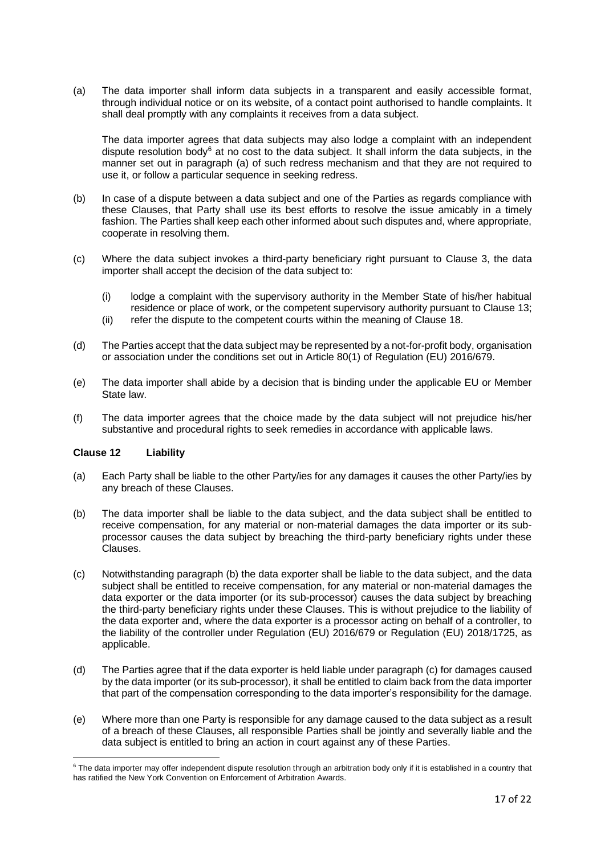(a) The data importer shall inform data subjects in a transparent and easily accessible format, through individual notice or on its website, of a contact point authorised to handle complaints. It shall deal promptly with any complaints it receives from a data subject.

The data importer agrees that data subjects may also lodge a complaint with an independent dispute resolution body $6$  at no cost to the data subject. It shall inform the data subjects, in the manner set out in paragraph (a) of such redress mechanism and that they are not required to use it, or follow a particular sequence in seeking redress.

- (b) In case of a dispute between a data subject and one of the Parties as regards compliance with these Clauses, that Party shall use its best efforts to resolve the issue amicably in a timely fashion. The Parties shall keep each other informed about such disputes and, where appropriate, cooperate in resolving them.
- (c) Where the data subject invokes a third-party beneficiary right pursuant to Clause 3, the data importer shall accept the decision of the data subject to:
	- (i) lodge a complaint with the supervisory authority in the Member State of his/her habitual residence or place of work, or the competent supervisory authority pursuant to Clause 13;
	- (ii) refer the dispute to the competent courts within the meaning of Clause 18.
- (d) The Parties accept that the data subject may be represented by a not-for-profit body, organisation or association under the conditions set out in Article 80(1) of Regulation (EU) 2016/679.
- (e) The data importer shall abide by a decision that is binding under the applicable EU or Member State law.
- (f) The data importer agrees that the choice made by the data subject will not prejudice his/her substantive and procedural rights to seek remedies in accordance with applicable laws.

# **Clause 12 Liability**

- (a) Each Party shall be liable to the other Party/ies for any damages it causes the other Party/ies by any breach of these Clauses.
- (b) The data importer shall be liable to the data subject, and the data subject shall be entitled to receive compensation, for any material or non-material damages the data importer or its subprocessor causes the data subject by breaching the third-party beneficiary rights under these Clauses.
- (c) Notwithstanding paragraph (b) the data exporter shall be liable to the data subject, and the data subject shall be entitled to receive compensation, for any material or non-material damages the data exporter or the data importer (or its sub-processor) causes the data subject by breaching the third-party beneficiary rights under these Clauses. This is without prejudice to the liability of the data exporter and, where the data exporter is a processor acting on behalf of a controller, to the liability of the controller under Regulation (EU) 2016/679 or Regulation (EU) 2018/1725, as applicable.
- (d) The Parties agree that if the data exporter is held liable under paragraph (c) for damages caused by the data importer (or its sub-processor), it shall be entitled to claim back from the data importer that part of the compensation corresponding to the data importer's responsibility for the damage.
- (e) Where more than one Party is responsible for any damage caused to the data subject as a result of a breach of these Clauses, all responsible Parties shall be jointly and severally liable and the data subject is entitled to bring an action in court against any of these Parties.

 $6$  The data importer may offer independent dispute resolution through an arbitration body only if it is established in a country that has ratified the New York Convention on Enforcement of Arbitration Awards.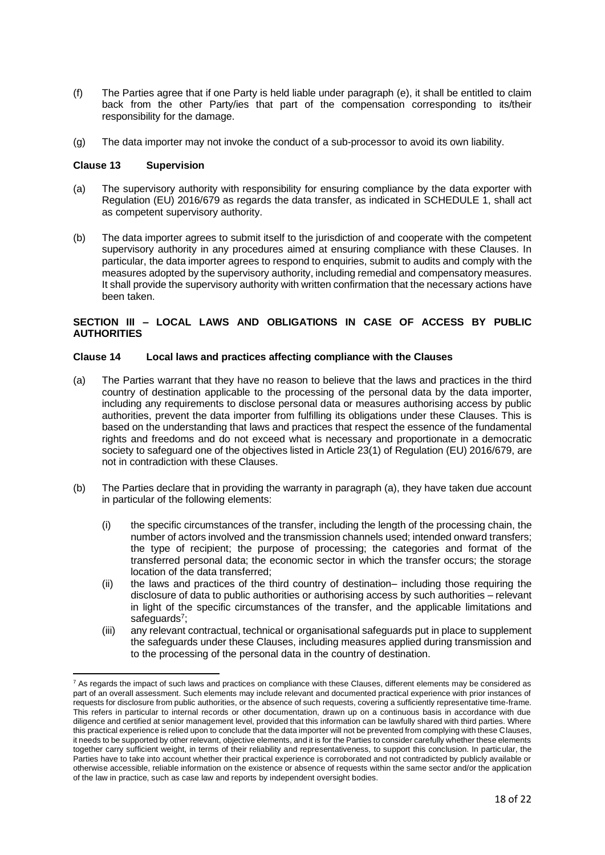- (f) The Parties agree that if one Party is held liable under paragraph (e), it shall be entitled to claim back from the other Party/ies that part of the compensation corresponding to its/their responsibility for the damage.
- (g) The data importer may not invoke the conduct of a sub-processor to avoid its own liability.

#### **Clause 13 Supervision**

- (a) The supervisory authority with responsibility for ensuring compliance by the data exporter with Regulation (EU) 2016/679 as regards the data transfer, as indicated in SCHEDULE 1, shall act as competent supervisory authority.
- (b) The data importer agrees to submit itself to the jurisdiction of and cooperate with the competent supervisory authority in any procedures aimed at ensuring compliance with these Clauses. In particular, the data importer agrees to respond to enquiries, submit to audits and comply with the measures adopted by the supervisory authority, including remedial and compensatory measures. It shall provide the supervisory authority with written confirmation that the necessary actions have been taken.

#### **SECTION III – LOCAL LAWS AND OBLIGATIONS IN CASE OF ACCESS BY PUBLIC AUTHORITIES**

#### **Clause 14 Local laws and practices affecting compliance with the Clauses**

- (a) The Parties warrant that they have no reason to believe that the laws and practices in the third country of destination applicable to the processing of the personal data by the data importer, including any requirements to disclose personal data or measures authorising access by public authorities, prevent the data importer from fulfilling its obligations under these Clauses. This is based on the understanding that laws and practices that respect the essence of the fundamental rights and freedoms and do not exceed what is necessary and proportionate in a democratic society to safeguard one of the objectives listed in Article 23(1) of Regulation (EU) 2016/679, are not in contradiction with these Clauses.
- (b) The Parties declare that in providing the warranty in paragraph (a), they have taken due account in particular of the following elements:
	- (i) the specific circumstances of the transfer, including the length of the processing chain, the number of actors involved and the transmission channels used; intended onward transfers; the type of recipient; the purpose of processing; the categories and format of the transferred personal data; the economic sector in which the transfer occurs; the storage location of the data transferred;
	- (ii) the laws and practices of the third country of destination– including those requiring the disclosure of data to public authorities or authorising access by such authorities – relevant in light of the specific circumstances of the transfer, and the applicable limitations and safeguards<sup>7</sup>;
	- (iii) any relevant contractual, technical or organisational safeguards put in place to supplement the safeguards under these Clauses, including measures applied during transmission and to the processing of the personal data in the country of destination.

 $7$  As regards the impact of such laws and practices on compliance with these Clauses, different elements may be considered as part of an overall assessment. Such elements may include relevant and documented practical experience with prior instances of requests for disclosure from public authorities, or the absence of such requests, covering a sufficiently representative time-frame. This refers in particular to internal records or other documentation, drawn up on a continuous basis in accordance with due diligence and certified at senior management level, provided that this information can be lawfully shared with third parties. Where this practical experience is relied upon to conclude that the data importer will not be prevented from complying with these Clauses, it needs to be supported by other relevant, objective elements, and it is for the Parties to consider carefully whether these elements together carry sufficient weight, in terms of their reliability and representativeness, to support this conclusion. In particular, the Parties have to take into account whether their practical experience is corroborated and not contradicted by publicly available or otherwise accessible, reliable information on the existence or absence of requests within the same sector and/or the application of the law in practice, such as case law and reports by independent oversight bodies.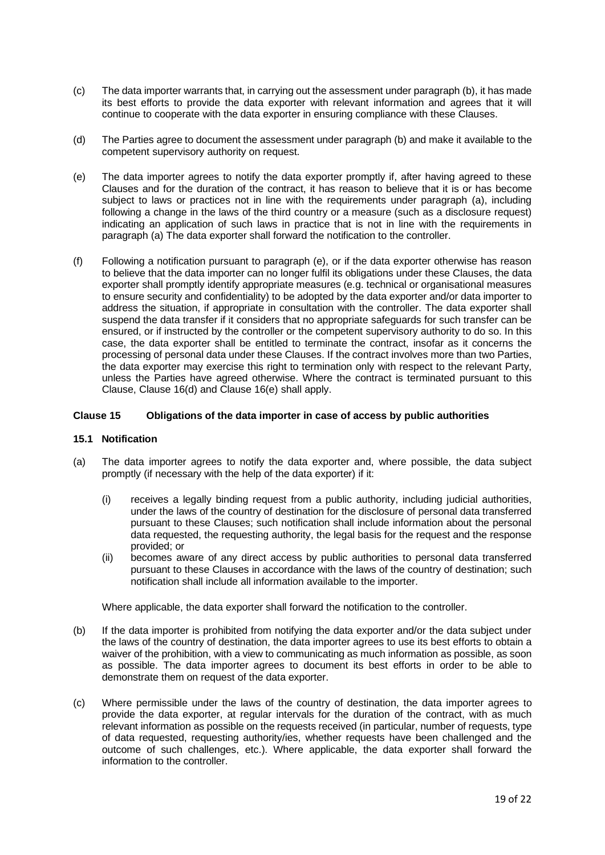- (c) The data importer warrants that, in carrying out the assessment under paragraph (b), it has made its best efforts to provide the data exporter with relevant information and agrees that it will continue to cooperate with the data exporter in ensuring compliance with these Clauses.
- (d) The Parties agree to document the assessment under paragraph (b) and make it available to the competent supervisory authority on request.
- (e) The data importer agrees to notify the data exporter promptly if, after having agreed to these Clauses and for the duration of the contract, it has reason to believe that it is or has become subject to laws or practices not in line with the requirements under paragraph (a), including following a change in the laws of the third country or a measure (such as a disclosure request) indicating an application of such laws in practice that is not in line with the requirements in paragraph (a) The data exporter shall forward the notification to the controller.
- (f) Following a notification pursuant to paragraph (e), or if the data exporter otherwise has reason to believe that the data importer can no longer fulfil its obligations under these Clauses, the data exporter shall promptly identify appropriate measures (e.g. technical or organisational measures to ensure security and confidentiality) to be adopted by the data exporter and/or data importer to address the situation, if appropriate in consultation with the controller. The data exporter shall suspend the data transfer if it considers that no appropriate safeguards for such transfer can be ensured, or if instructed by the controller or the competent supervisory authority to do so. In this case, the data exporter shall be entitled to terminate the contract, insofar as it concerns the processing of personal data under these Clauses. If the contract involves more than two Parties, the data exporter may exercise this right to termination only with respect to the relevant Party, unless the Parties have agreed otherwise. Where the contract is terminated pursuant to this Clause, Clause 16(d) and Clause 16(e) shall apply.

#### **Clause 15 Obligations of the data importer in case of access by public authorities**

#### **15.1 Notification**

- (a) The data importer agrees to notify the data exporter and, where possible, the data subject promptly (if necessary with the help of the data exporter) if it:
	- (i) receives a legally binding request from a public authority, including judicial authorities, under the laws of the country of destination for the disclosure of personal data transferred pursuant to these Clauses; such notification shall include information about the personal data requested, the requesting authority, the legal basis for the request and the response provided; or
	- (ii) becomes aware of any direct access by public authorities to personal data transferred pursuant to these Clauses in accordance with the laws of the country of destination; such notification shall include all information available to the importer.

Where applicable, the data exporter shall forward the notification to the controller.

- (b) If the data importer is prohibited from notifying the data exporter and/or the data subject under the laws of the country of destination, the data importer agrees to use its best efforts to obtain a waiver of the prohibition, with a view to communicating as much information as possible, as soon as possible. The data importer agrees to document its best efforts in order to be able to demonstrate them on request of the data exporter.
- (c) Where permissible under the laws of the country of destination, the data importer agrees to provide the data exporter, at regular intervals for the duration of the contract, with as much relevant information as possible on the requests received (in particular, number of requests, type of data requested, requesting authority/ies, whether requests have been challenged and the outcome of such challenges, etc.). Where applicable, the data exporter shall forward the information to the controller.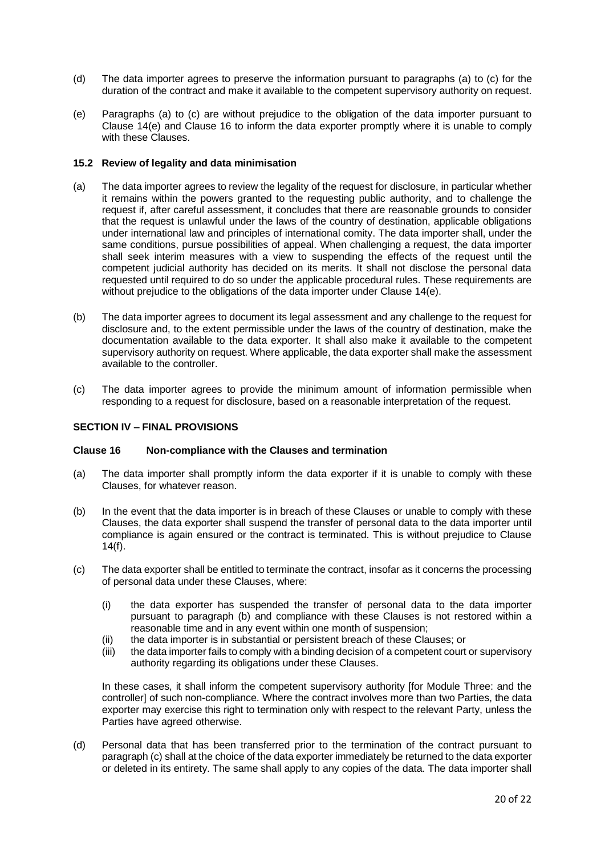- (d) The data importer agrees to preserve the information pursuant to paragraphs (a) to (c) for the duration of the contract and make it available to the competent supervisory authority on request.
- (e) Paragraphs (a) to (c) are without prejudice to the obligation of the data importer pursuant to Clause 14(e) and Clause 16 to inform the data exporter promptly where it is unable to comply with these Clauses.

#### **15.2 Review of legality and data minimisation**

- (a) The data importer agrees to review the legality of the request for disclosure, in particular whether it remains within the powers granted to the requesting public authority, and to challenge the request if, after careful assessment, it concludes that there are reasonable grounds to consider that the request is unlawful under the laws of the country of destination, applicable obligations under international law and principles of international comity. The data importer shall, under the same conditions, pursue possibilities of appeal. When challenging a request, the data importer shall seek interim measures with a view to suspending the effects of the request until the competent judicial authority has decided on its merits. It shall not disclose the personal data requested until required to do so under the applicable procedural rules. These requirements are without prejudice to the obligations of the data importer under Clause 14(e).
- (b) The data importer agrees to document its legal assessment and any challenge to the request for disclosure and, to the extent permissible under the laws of the country of destination, make the documentation available to the data exporter. It shall also make it available to the competent supervisory authority on request. Where applicable, the data exporter shall make the assessment available to the controller.
- (c) The data importer agrees to provide the minimum amount of information permissible when responding to a request for disclosure, based on a reasonable interpretation of the request.

#### **SECTION IV – FINAL PROVISIONS**

#### **Clause 16 Non-compliance with the Clauses and termination**

- (a) The data importer shall promptly inform the data exporter if it is unable to comply with these Clauses, for whatever reason.
- (b) In the event that the data importer is in breach of these Clauses or unable to comply with these Clauses, the data exporter shall suspend the transfer of personal data to the data importer until compliance is again ensured or the contract is terminated. This is without prejudice to Clause  $14(f)$ .
- (c) The data exporter shall be entitled to terminate the contract, insofar as it concerns the processing of personal data under these Clauses, where:
	- (i) the data exporter has suspended the transfer of personal data to the data importer pursuant to paragraph (b) and compliance with these Clauses is not restored within a reasonable time and in any event within one month of suspension;
	- (ii) the data importer is in substantial or persistent breach of these Clauses; or
	- (iii) the data importer fails to comply with a binding decision of a competent court or supervisory authority regarding its obligations under these Clauses.

In these cases, it shall inform the competent supervisory authority [for Module Three: and the controller] of such non-compliance. Where the contract involves more than two Parties, the data exporter may exercise this right to termination only with respect to the relevant Party, unless the Parties have agreed otherwise.

(d) Personal data that has been transferred prior to the termination of the contract pursuant to paragraph (c) shall at the choice of the data exporter immediately be returned to the data exporter or deleted in its entirety. The same shall apply to any copies of the data. The data importer shall